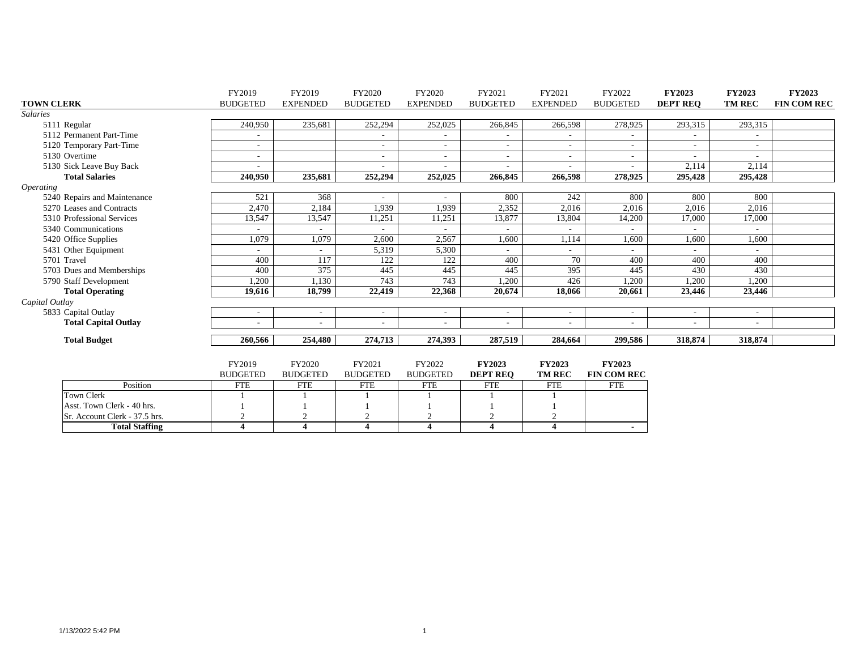|                         |                               | FY2019                   | FY2019                 | FY2020                   | FY2020                   | FY2021          | FY2021                   | FY2022                   | <b>FY2023</b>   | <b>FY2023</b>  | FY2023             |
|-------------------------|-------------------------------|--------------------------|------------------------|--------------------------|--------------------------|-----------------|--------------------------|--------------------------|-----------------|----------------|--------------------|
| <b>TOWN CLERK</b>       |                               | <b>BUDGETED</b>          | <b>EXPENDED</b>        | <b>BUDGETED</b>          | <b>EXPENDED</b>          | <b>BUDGETED</b> | <b>EXPENDED</b>          | <b>BUDGETED</b>          | <b>DEPT REO</b> | <b>TM REC</b>  | <b>FIN COM REC</b> |
| <b>Salaries</b>         |                               |                          |                        |                          |                          |                 |                          |                          |                 |                |                    |
|                         | 5111 Regular                  | 240,950                  | 235,681                | 252,294                  | 252,025                  | 266,845         | 266,598                  | 278,925                  | 293,315         | 293,315        |                    |
|                         | 5112 Permanent Part-Time      | $\sim$                   |                        |                          | $\overline{\phantom{a}}$ |                 |                          | $\sim$                   |                 |                |                    |
|                         | 5120 Temporary Part-Time      | $\overline{\phantom{a}}$ |                        | $\overline{\phantom{a}}$ | $\overline{\phantom{0}}$ |                 | $\overline{\phantom{0}}$ | $\sim$                   | $\sim$          | ٠              |                    |
|                         | 5130 Overtime                 |                          |                        | ٠                        | $\sim$                   |                 |                          | $\sim$                   |                 |                |                    |
|                         | 5130 Sick Leave Buy Back      |                          |                        |                          |                          |                 |                          |                          | 2,114           | 2,114          |                    |
|                         | <b>Total Salaries</b>         | 240,950                  | 235,681                | 252,294                  | 252,025                  | 266,845         | 266,598                  | 278,925                  | 295,428         | 295,428        |                    |
| <i><b>Operating</b></i> |                               |                          |                        |                          |                          |                 |                          |                          |                 |                |                    |
|                         | 5240 Repairs and Maintenance  | 521                      | 368                    |                          | $\sim$                   | 800             | 242                      | 800                      | 800             | 800            |                    |
|                         | 5270 Leases and Contracts     | 2,470                    | 2,184                  | 1,939                    | 1,939                    | 2,352           | 2,016                    | 2,016                    | 2,016           | 2,016          |                    |
|                         | 5310 Professional Services    | 13,547                   | 13,547                 | 11,251                   | 11,251                   | 13,877          | 13,804                   | 14,200                   | 17,000          | 17,000         |                    |
|                         | 5340 Communications           |                          | $\sim$                 | $\overline{a}$           |                          |                 |                          | $\sim$                   |                 |                |                    |
|                         | 5420 Office Supplies          | 1,079                    | 1,079                  | 2,600                    | 2,567                    | 1,600           | 1,114                    | 1,600                    | 1,600           | 1,600          |                    |
|                         | 5431 Other Equipment          |                          |                        | 5,319                    | 5,300                    |                 |                          | $\sim$                   |                 |                |                    |
|                         | 5701 Travel                   | 400                      | 117                    | 122                      | 122                      | 400             | 70                       | 400                      | 400             | 400            |                    |
|                         | 5703 Dues and Memberships     | 400                      | 375                    | 445                      | 445                      | 445             | 395                      | 445                      | 430             | 430            |                    |
|                         | 5790 Staff Development        | ,200                     | 1,130                  | 743                      | 743                      | ,200            | 426                      | 1,200                    | 1,200           | 1,200          |                    |
|                         | <b>Total Operating</b>        | 19.616                   | 18.799                 | 22,419                   | 22,368                   | 20.674          | 18.066                   | 20.661                   | 23,446          | 23,446         |                    |
| Capital Outlay          |                               |                          |                        |                          |                          |                 |                          |                          |                 |                |                    |
|                         | 5833 Capital Outlay           | $\overline{\phantom{a}}$ |                        | ٠                        | ٠                        |                 |                          | $\sim$                   |                 |                |                    |
|                         | <b>Total Capital Outlay</b>   |                          |                        | $\blacksquare$           | $\blacksquare$           |                 |                          | $\sim$                   | $\blacksquare$  | $\blacksquare$ |                    |
|                         | <b>Total Budget</b>           | 260,566                  | 254,480                | 274,713                  | 274,393                  | 287,519         | 284,664                  | 299,586                  | 318,874         | 318,874        |                    |
|                         |                               |                          |                        |                          |                          |                 |                          |                          |                 |                |                    |
|                         |                               | FY2019                   | FY2020                 | FY2021                   | FY2022                   | <b>FY2023</b>   | <b>FY2023</b>            | <b>FY2023</b>            |                 |                |                    |
|                         |                               | <b>BUDGETED</b>          | <b>BUDGETED</b>        | <b>BUDGETED</b>          | <b>BUDGETED</b>          | <b>DEPT REO</b> | <b>TM REC</b>            | <b>FIN COM REC</b>       |                 |                |                    |
|                         | Position                      | <b>FTE</b>               | <b>FTE</b>             | <b>FTE</b>               | <b>FTE</b>               | <b>FTE</b>      | <b>FTE</b>               | <b>FTE</b>               |                 |                |                    |
|                         | <b>Town Clerk</b>             |                          |                        |                          |                          |                 |                          |                          |                 |                |                    |
|                         | Asst. Town Clerk - 40 hrs.    |                          |                        |                          |                          |                 |                          |                          |                 |                |                    |
|                         | Sr. Account Clerk - 37.5 hrs. | $\overline{2}$           | $\bigcap$              | $\overline{2}$           | $\overline{2}$           |                 | $\overline{2}$           |                          |                 |                |                    |
|                         | <b>Total Staffing</b>         | $\boldsymbol{\Delta}$    | $\boldsymbol{\Lambda}$ |                          |                          |                 | $\boldsymbol{\Lambda}$   | $\overline{\phantom{0}}$ |                 |                |                    |

**Total Staffing 4 4 4 4 4 4 -**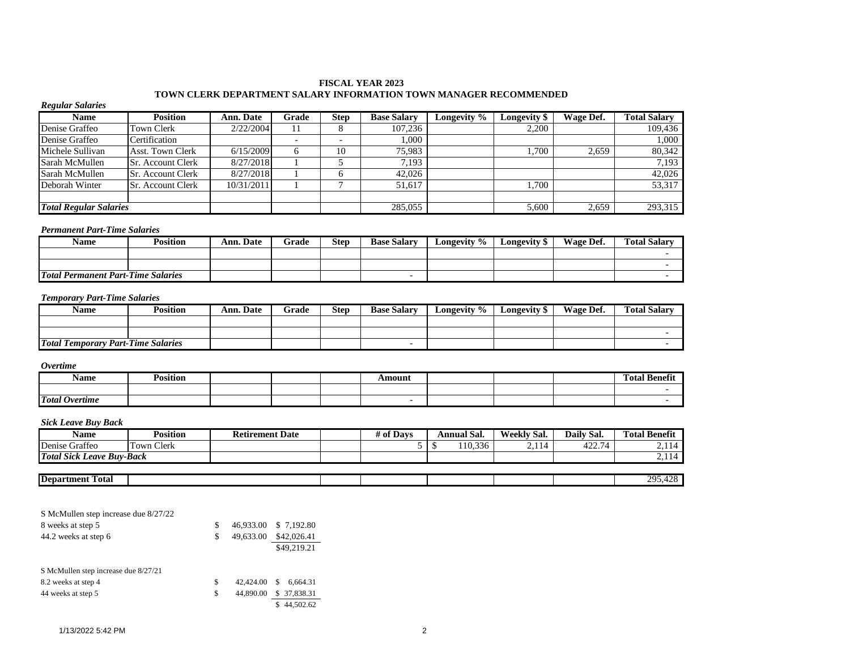#### **FISCAL YEAR 2023 TOWN CLERK DEPARTMENT SALARY INFORMATION TOWN MANAGER RECOMMENDED**

| <b>Regular Salaries</b> |                               |            |       |             |                    |             |                     |           |                     |
|-------------------------|-------------------------------|------------|-------|-------------|--------------------|-------------|---------------------|-----------|---------------------|
| <b>Name</b>             | <b>Position</b>               | Ann. Date  | Grade | <b>Step</b> | <b>Base Salary</b> | Longevity % | <b>Longevity</b> \$ | Wage Def. | <b>Total Salary</b> |
| Denise Graffeo          | <b>Town Clerk</b>             | 2/22/2004  |       | ◠           | 107.236            |             | 2.200               |           | 109.436             |
| Denise Graffeo          | Certification                 |            |       |             | 1,000              |             |                     |           | 1,000               |
| Michele Sullivan        | <b>Asst. Town Clerk</b>       | 6/15/2009  | 6     | 10          | 75,983             |             | 1,700               | 2,659     | 80,342              |
| Sarah McMullen          | <b>Sr.</b> Account Clerk      | 8/27/2018  |       |             | 7.193              |             |                     |           | 7.193               |
| Sarah McMullen          | ISr. Account Clerk            | 8/27/2018  |       |             | 42,026             |             |                     |           | 42,026              |
| Deborah Winter          | <b>Sr. Account Clerk</b>      | 10/31/2011 |       |             | 51,617             |             | 1,700               |           | 53,317              |
|                         |                               |            |       |             |                    |             |                     |           |                     |
|                         | <b>Total Regular Salaries</b> |            |       |             | 285,055            |             | 5,600               | 2,659     | 293,315             |

#### *Permanent Part-Time Salaries*

| Name                                      | Position | Ann. Date | Grade | Step | <b>Base Salary</b> | Longevity % | <b>Longevity</b> \$ | Wage Def. | <b>Total Salarv</b> |
|-------------------------------------------|----------|-----------|-------|------|--------------------|-------------|---------------------|-----------|---------------------|
|                                           |          |           |       |      |                    |             |                     |           |                     |
|                                           |          |           |       |      |                    |             |                     |           |                     |
| <b>Total Permanent Part-Time Salaries</b> |          |           |       |      |                    |             |                     |           |                     |

#### *Temporary Part-Time Salaries*

| <b>Name</b>                               | Position | Ann. Date | Grade | <b>Step</b> | <b>Base Salary</b> | Longevity % | Longevity S | Wage Def. | <b>Total Salary</b> |
|-------------------------------------------|----------|-----------|-------|-------------|--------------------|-------------|-------------|-----------|---------------------|
|                                           |          |           |       |             |                    |             |             |           |                     |
|                                           |          |           |       |             |                    |             |             |           |                     |
| <b>Total Temporary Part-Time Salaries</b> |          |           |       |             | -                  |             |             |           |                     |

#### *Overtime*

| Name                  | $\cdot \cdot$<br>Position |  | Amount |  | $\mathbf{a}$<br>m<br>Fotal<br>Benefit |
|-----------------------|---------------------------|--|--------|--|---------------------------------------|
|                       |                           |  |        |  |                                       |
| <b>Total Overtime</b> |                           |  |        |  |                                       |

#### *Sick Leave Buy Back*

| <b>Name</b>                           | <b>Position</b>                | <b>Retirement Date</b> | t of Davs | Annual Sal.     | Weekly Sal. | Daily Sal.    | <b>Total Benefit</b> |
|---------------------------------------|--------------------------------|------------------------|-----------|-----------------|-------------|---------------|----------------------|
| Denise Graffeo                        | $\sim$<br>l m<br>Clerk<br>Town |                        |           | 110.336<br>- 11 | 2.114       | 100.7<br>444. | --                   |
| <b>Total Sick Leave</b><br>? Buy-Back |                                |                        |           |                 |             |               | <u>.</u> .           |
|                                       |                                |                        |           |                 |             |               |                      |

| <b>Depar</b><br>--<br>Fotal<br>men. |  |  |  | าเ<br>ົນ |
|-------------------------------------|--|--|--|----------|
|                                     |  |  |  |          |

| S McMullen step increase due 8/27/22 |    |           |                |
|--------------------------------------|----|-----------|----------------|
| 8 weeks at step 5                    | S  | 46.933.00 | \$7.192.80     |
| 44.2 weeks at step 6                 | S  | 49,633.00 | \$42,026.41    |
|                                      |    |           | \$49,219.21    |
|                                      |    |           |                |
| S McMullen step increase due 8/27/21 |    |           |                |
| 8.2 weeks at step 4                  | \$ | 42,424.00 | 6.664.31<br>\$ |
| 44 weeks at step 5                   | \$ | 44,890.00 | \$ 37,838.31   |
|                                      |    |           | 44,502.62      |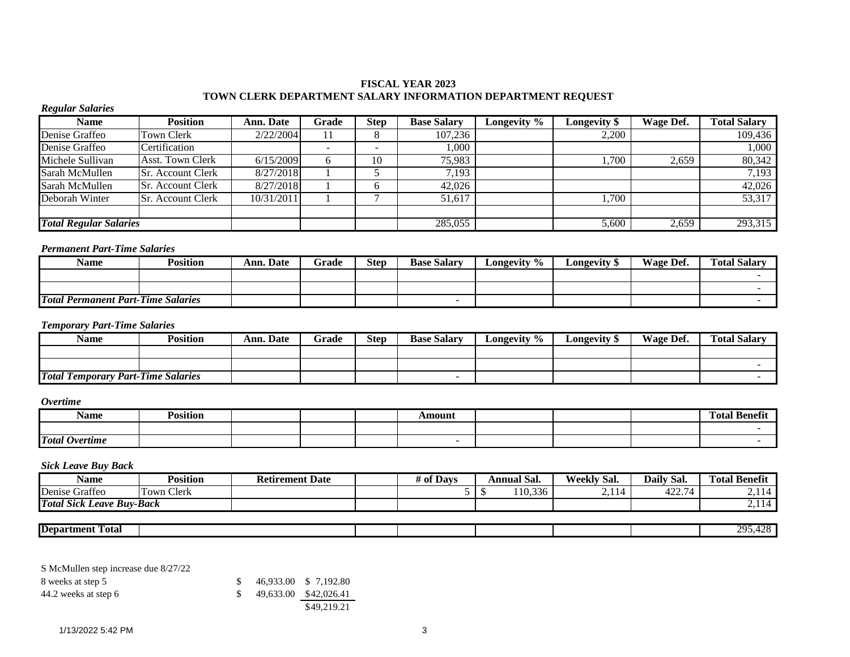#### **FISCAL YEAR 2023 TOWN CLERK DEPARTMENT SALARY INFORMATION DEPARTMENT REQUEST**

#### *Regular Salaries*

| <b>Name</b>                   | <b>Position</b>          | <b>Ann. Date</b> | Grade | <b>Step</b>              | <b>Base Salary</b> | <b>Longevity</b> $\overline{\%}$ | Longevity \$ | Wage Def. | <b>Total Salarv</b> |
|-------------------------------|--------------------------|------------------|-------|--------------------------|--------------------|----------------------------------|--------------|-----------|---------------------|
| Denise Graffeo                | <b>Town Clerk</b>        | 2/22/2004        |       |                          | 107,236            |                                  | 2,200        |           | 109,436             |
| Denise Graffeo                | Certification            |                  |       | $\overline{\phantom{a}}$ | 1,000              |                                  |              |           | 1,000               |
| Michele Sullivan              | <b>Asst. Town Clerk</b>  | 6/15/2009        |       | 10                       | 75,983             |                                  | 1.700        | 2.659     | 80,342              |
| Sarah McMullen                | <b>Sr.</b> Account Clerk | 8/27/2018        |       |                          | 7,193              |                                  |              |           | $7,\overline{193}$  |
| Sarah McMullen                | <b>Sr. Account Clerk</b> | 8/27/2018        |       |                          | 42,026             |                                  |              |           | 42,026              |
| Deborah Winter                | <b>Sr. Account Clerk</b> | 10/31/2011       |       |                          | 51,617             |                                  | 1.700        |           | 53,317              |
|                               |                          |                  |       |                          |                    |                                  |              |           |                     |
| <b>Total Regular Salaries</b> |                          |                  |       |                          | 285,055            |                                  | 5,600        | 2,659     | 293,315             |

### *Permanent Part-Time Salaries*

| Name                                      | <b>Position</b> | <b>Ann. Date</b> | Grade | <b>Step</b> | <b>Base Salary</b> | Longevity % | Longevity " | Wage Def. | <b>Total Salary</b> |
|-------------------------------------------|-----------------|------------------|-------|-------------|--------------------|-------------|-------------|-----------|---------------------|
|                                           |                 |                  |       |             |                    |             |             |           |                     |
|                                           |                 |                  |       |             |                    |             |             |           |                     |
| <b>Total Permanent Part-Time Salaries</b> |                 |                  |       |             |                    |             |             |           |                     |

#### *Temporary Part-Time Salaries*

| Name                                      | Position | <b>Ann. Date</b> | Grade | <b>Step</b> | <b>Base Salary</b> | Longevity $\%$ | Longevity 5 | Wage Def. | <b>Total Salary</b> |
|-------------------------------------------|----------|------------------|-------|-------------|--------------------|----------------|-------------|-----------|---------------------|
|                                           |          |                  |       |             |                    |                |             |           |                     |
|                                           |          |                  |       |             |                    |                |             |           |                     |
| <b>Total Temporary Part-Time Salaries</b> |          |                  |       |             | -                  |                |             |           |                     |

#### *Overtime*

| Name                  | Position |  | Amount |  | $\mathbf{a}$<br>m<br>$\mathbf{r}$<br>-Benetit<br>rotal i |
|-----------------------|----------|--|--------|--|----------------------------------------------------------|
|                       |          |  |        |  |                                                          |
| <b>Total Overtime</b> |          |  |        |  |                                                          |

#### *Sick Leave Buy Back*

| Name                                           | <sup>&gt;</sup> osition | Date<br>Retirement | t of Davs | Annual | $\sim$<br>`Sal. | $\sim$<br>Weekly<br>Sal. | <i>D</i> aily<br>* Sal.      | <b>Total Benefit</b> |
|------------------------------------------------|-------------------------|--------------------|-----------|--------|-----------------|--------------------------|------------------------------|----------------------|
| Denise<br>$\sim$<br>Graffeo                    | <b>Town Clerk</b>       |                    |           | 110    | $\sim$<br>U.336 | $\sim$ 1 $\sim$          | $\sim$ $\sim$<br>ᅭ.<br>T/1/1 | . .                  |
| Total<br>.<br><b>Buv-Back</b><br>Sick<br>Leave |                         |                    |           |        |                 |                          |                              | 4.11                 |

| ID0<br>rotal<br>epartment |  |  |  | 20S<br>$\ddot{\,}$ |
|---------------------------|--|--|--|--------------------|
|                           |  |  |  |                    |

S McMullen step increase due 8/27/22

| 8 weeks at step 5    |  | 46,933.00 \$ 7,192.80 |
|----------------------|--|-----------------------|
| 44.2 weeks at step 6 |  | 49,633.00 \$42,026.41 |
|                      |  | \$49,219.21           |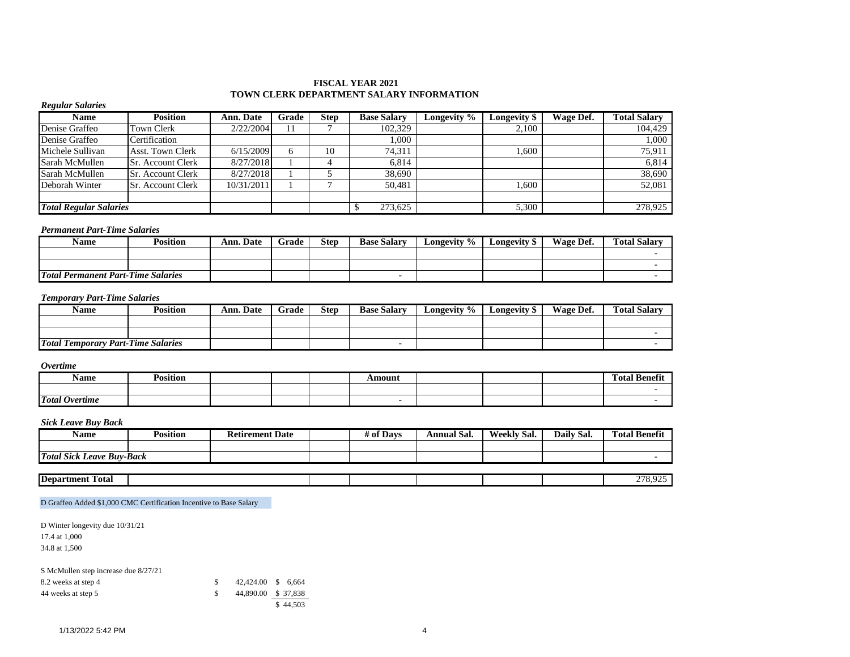#### **FISCAL YEAR 2021 TOWN CLERK DEPARTMENT SALARY INFORMATION**

| <b>Regular Salaries</b>       |                          |                  |       |             |                    |             |              |           |                     |
|-------------------------------|--------------------------|------------------|-------|-------------|--------------------|-------------|--------------|-----------|---------------------|
| <b>Name</b>                   | <b>Position</b>          | <b>Ann. Date</b> | Grade | <b>Step</b> | <b>Base Salary</b> | Longevity % | Longevity \$ | Wage Def. | <b>Total Salary</b> |
| Denise Graffeo                | <b>Town Clerk</b>        | 2/22/2004        | 11    |             | 102,329            |             | 2.100        |           | 104.429             |
| Denise Graffeo                | Certification            |                  |       |             | 1.000              |             |              |           | 1,000               |
| Michele Sullivan              | <b>Asst. Town Clerk</b>  | 6/15/2009        | 6     | 10          | 74.311             |             | 1.600        |           | 75,911              |
| Sarah McMullen                | <b>Sr.</b> Account Clerk | 8/27/2018        |       | 4           | 6.814              |             |              |           | 6.814               |
| Sarah McMullen                | <b>Sr. Account Clerk</b> | 8/27/2018        |       |             | 38,690             |             |              |           | 38,690              |
| Deborah Winter                | <b>Sr.</b> Account Clerk | 10/31/2011       |       |             | 50,481             |             | .600         |           | 52,081              |
|                               |                          |                  |       |             |                    |             |              |           |                     |
| <b>Total Regular Salaries</b> |                          |                  |       |             | 273,625            |             | 5,300        |           | 278,925             |

#### *Permanent Part-Time Salaries*

| Name                                      | Position | Ann. Date | Grade | <b>Step</b> | <b>Base Salary</b> | Longevity % | Longevity \$ | Wage Def. | <b>Total Salary</b> |
|-------------------------------------------|----------|-----------|-------|-------------|--------------------|-------------|--------------|-----------|---------------------|
|                                           |          |           |       |             |                    |             |              |           |                     |
|                                           |          |           |       |             |                    |             |              |           |                     |
| <b>Total Permanent Part-Time Salaries</b> |          |           |       |             |                    |             |              |           |                     |

#### *Temporary Part-Time Salaries*

| Name                                      | Position | Ann. Date | Grade | Step | <b>Base Salary</b> | Longevity % | Longevity \$ | Wage Def. | <b>Total Salary</b> |
|-------------------------------------------|----------|-----------|-------|------|--------------------|-------------|--------------|-----------|---------------------|
|                                           |          |           |       |      |                    |             |              |           |                     |
|                                           |          |           |       |      |                    |             |              |           |                     |
| <b>Total Temporary Part-Time Salaries</b> |          |           |       |      |                    |             |              |           |                     |

#### *Overtime*

| Name                  | $\cdot \cdot$<br>–<br>Position |  | Amount |  | <b>CONT</b><br>. .<br>$\mathbf{r}$<br>Total Benefit |
|-----------------------|--------------------------------|--|--------|--|-----------------------------------------------------|
|                       |                                |  |        |  |                                                     |
| <b>Total Overtime</b> |                                |  |        |  |                                                     |

#### *Sick Leave Buy Back*

| Name                                       | 'ositior | Retirement .<br>Date | * Davs<br>0I | Annual Sal. | Weekly Sal. | Daily Sal. | Total Benefit<br>m |
|--------------------------------------------|----------|----------------------|--------------|-------------|-------------|------------|--------------------|
|                                            |          |                      |              |             |             |            |                    |
| <b>Total Sick</b><br><b>Leave Buv-Back</b> |          |                      |              |             |             |            |                    |
|                                            |          |                      |              |             |             |            |                    |

| <b>PERSONAL</b><br><b>Department</b><br>rotal<br>- |  |  |  | $\sim$ $\sim$ $\sim$ |
|----------------------------------------------------|--|--|--|----------------------|
|                                                    |  |  |  |                      |

#### D Graffeo Added \$1,000 CMC Certification Incentive to Base Salary

D Winter longevity due 10/31/21 17.4 at 1,000

34.8 at 1,500

| S McMullen step increase due 8/27/21 |                     |          |
|--------------------------------------|---------------------|----------|
| 8.2 weeks at step 4                  | 42,424.00 \$ 6,664  |          |
| 44 weeks at step 5                   | 44,890,00 \$ 37,838 |          |
|                                      |                     | \$44,503 |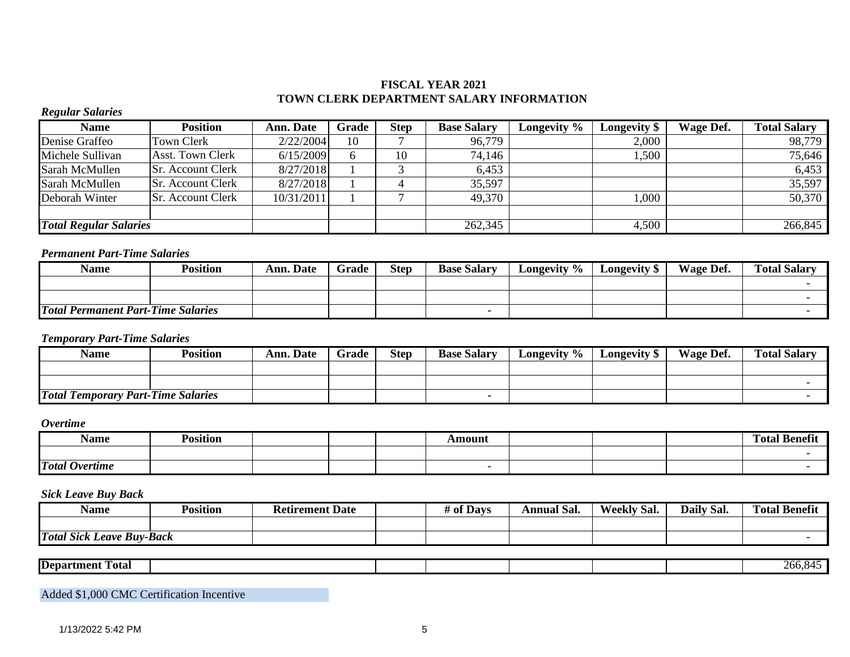# **FISCAL YEAR 2021 TOWN CLERK DEPARTMENT SALARY INFORMATION**

### *Regular Salaries*

| Name                          | <b>Position</b>          | <b>Ann. Date</b> | Grade | <b>Step</b> | <b>Base Salary</b> | Longevity $\%$ | Longevity \$ | Wage Def. | <b>Total Salary</b> |
|-------------------------------|--------------------------|------------------|-------|-------------|--------------------|----------------|--------------|-----------|---------------------|
| Denise Graffeo                | Town Clerk               | 2/22/2004        | 10    |             | 96,779             |                | 2,000        |           | 98,779              |
| Michele Sullivan              | Asst. Town Clerk         | 6/15/2009        |       | 10          | 74,146             |                | 1,500        |           | 75,646              |
| Sarah McMullen                | <b>Sr. Account Clerk</b> | 8/27/2018        |       |             | 6,453              |                |              |           | 6,453               |
| Sarah McMullen                | <b>Sr. Account Clerk</b> | 8/27/2018        |       |             | 35,597             |                |              |           | 35,597              |
| Deborah Winter                | <b>Sr. Account Clerk</b> | 10/31/2011       |       |             | 49,370             |                | .000         |           | 50,370              |
|                               |                          |                  |       |             |                    |                |              |           |                     |
| <b>Total Regular Salaries</b> |                          |                  |       |             | 262,345            |                | 4,500        |           | 266,845             |

# *Permanent Part-Time Salaries*

| Name                                      | Position | <b>Ann. Date</b> | Grade | <b>Step</b> | <b>Base Salary</b> | Longevity % | Longevity \$ | Wage Def. | <b>Total Salary</b> |
|-------------------------------------------|----------|------------------|-------|-------------|--------------------|-------------|--------------|-----------|---------------------|
|                                           |          |                  |       |             |                    |             |              |           |                     |
|                                           |          |                  |       |             |                    |             |              |           |                     |
| <b>Total Permanent Part-Time Salaries</b> |          |                  |       |             |                    |             |              |           |                     |

### *Temporary Part-Time Salaries*

| <b>Name</b>                               | Position | <b>Ann. Date</b> | Grade | <b>Step</b> | <b>Base Salary</b> | Longevity % | Longevity \$ | Wage Def. | <b>Total Salary</b> |
|-------------------------------------------|----------|------------------|-------|-------------|--------------------|-------------|--------------|-----------|---------------------|
|                                           |          |                  |       |             |                    |             |              |           |                     |
|                                           |          |                  |       |             |                    |             |              |           |                     |
| <b>Total Temporary Part-Time Salaries</b> |          |                  |       |             |                    |             |              |           |                     |

### *Overtime*

| Name                  | .<br>sıtıon |  | \molln |  | $\mathbf{a}$<br>Totar<br>- Ke<br>menn |
|-----------------------|-------------|--|--------|--|---------------------------------------|
|                       |             |  |        |  |                                       |
| <b>Total Overtime</b> |             |  |        |  |                                       |

# *Sick Leave Buy Back*

| Name                                                   | $\ddotsc$<br>Position | <b>Retirement Date</b> | # of Days | Annual Sal. | $\sim$<br>Weekly<br>`Sal. | Daily Sal. | <b>Total Benefit</b> |
|--------------------------------------------------------|-----------------------|------------------------|-----------|-------------|---------------------------|------------|----------------------|
|                                                        |                       |                        |           |             |                           |            |                      |
| <b>Total Sick L</b><br><i><b>Buv-Back</b></i><br>Leave |                       |                        |           |             |                           |            |                      |

| <b>Department</b><br>.<br>rotal - |  |  |  | 'hf<br>$\ddotsc$<br>$\mathbf{I}$ |
|-----------------------------------|--|--|--|----------------------------------|
|                                   |  |  |  |                                  |

Added \$1,000 CMC Certification Incentive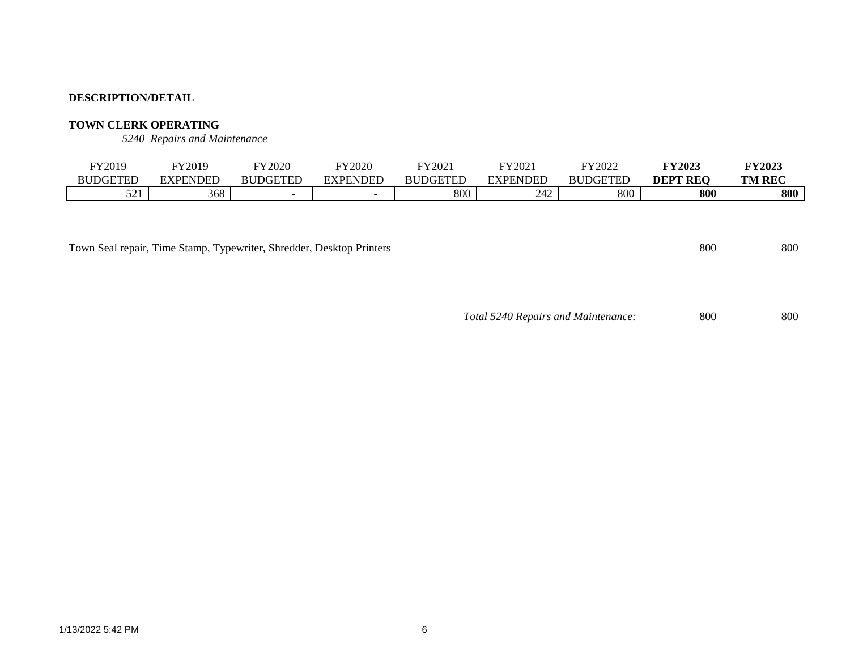# **TOWN CLERK OPERATING**

*5240 Repairs and Maintenance*

| FY2019          | FY2019          | FY2020          | FY2020         | FY2021          | FY2021   | FY2022          | <b>FY2023</b>   | <b>FY2023</b> |
|-----------------|-----------------|-----------------|----------------|-----------------|----------|-----------------|-----------------|---------------|
| <b>BUDGETED</b> | <b>EXPENDED</b> | <b>BUDGETED</b> | <b>YPENDED</b> | <b>BUDGETED</b> | EXPENDED | <b>BUDGETED</b> | <b>DEPT REQ</b> | <b>TM REC</b> |
| 501<br>⊥ ک ک    | 368             |                 |                | 800             | 242      | 800             | 800             | 800           |

Town Seal repair, Time Stamp, Typewriter, Shredder, Desktop Printers 800 800 800 800

*Total 5240 Repairs and Maintenance:* 800 800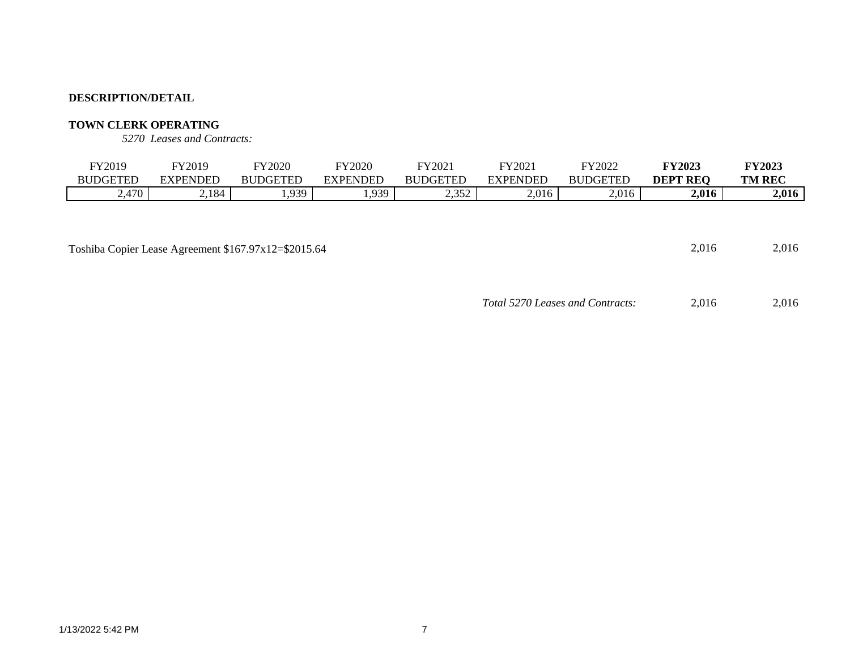# **TOWN CLERK OPERATING**

*5270 Leases and Contracts:*

| FY2019          | FY2019          | <b>FY2020</b>   | FY2020          | FY2021          | FY2021          | FY2022          | <b>FY2023</b>   | <b>FY2023</b> |
|-----------------|-----------------|-----------------|-----------------|-----------------|-----------------|-----------------|-----------------|---------------|
| <b>BUDGETED</b> | <b>EXPENDED</b> | <b>BUDGETED</b> | <b>EXPENDED</b> | <b>BUDGETED</b> | <b>EXPENDED</b> | <b>BUDGETED</b> | <b>DEPT REQ</b> | <b>TM REC</b> |
| 2,470           | 2,184           | ,939            | 1,939           | 2,352           | 2,016           | 2,016           | 2,016           | 2,016         |
|                 |                 |                 |                 |                 |                 |                 |                 |               |
|                 |                 |                 |                 |                 |                 |                 |                 |               |
|                 |                 |                 |                 |                 |                 |                 |                 |               |

Toshiba Copier Lease Agreement \$167.97x12=\$2015.64 2,016 2,016

*Total 5270 Leases and Contracts:* 2,016 2,016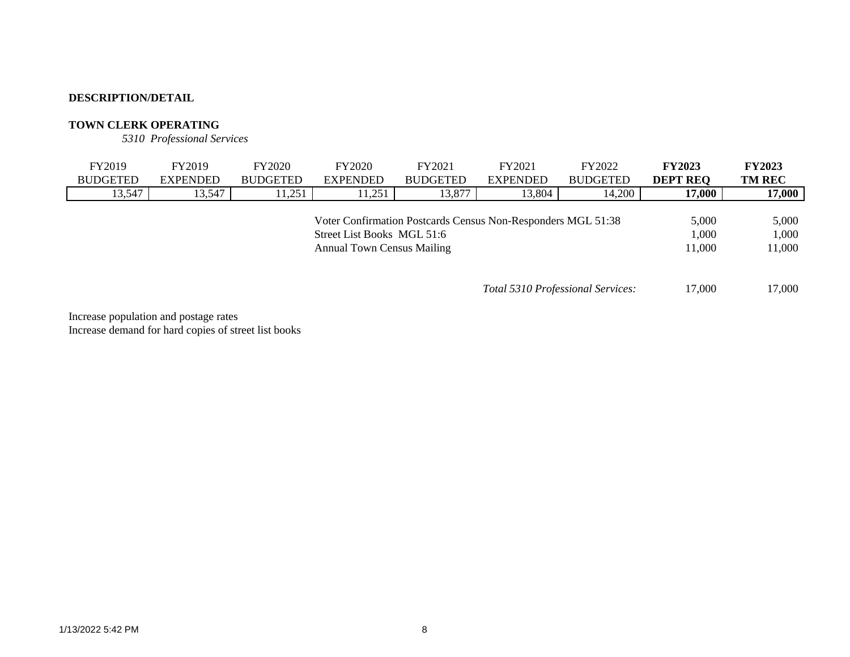# **TOWN CLERK OPERATING**

*5310 Professional Services*

| FY2019          | FY2019          | <b>FY2020</b>   | <b>FY2020</b>                     | FY2021                                                       | FY2021                            | FY2022          | <b>FY2023</b>   | <b>FY2023</b> |
|-----------------|-----------------|-----------------|-----------------------------------|--------------------------------------------------------------|-----------------------------------|-----------------|-----------------|---------------|
| <b>BUDGETED</b> | <b>EXPENDED</b> | <b>BUDGETED</b> | <b>EXPENDED</b>                   | <b>BUDGETED</b>                                              | <b>EXPENDED</b>                   | <b>BUDGETED</b> | <b>DEPT REQ</b> | <b>TM REC</b> |
| 13,547          | 13,547          | 11,251          | 11,251                            | 13,877                                                       | 13,804                            | 14,200          | 17,000          | 17,000        |
|                 |                 |                 |                                   |                                                              |                                   |                 |                 |               |
|                 |                 |                 |                                   | Voter Confirmation Postcards Census Non-Responders MGL 51:38 |                                   |                 | 5.000           | 5,000         |
|                 |                 |                 | Street List Books MGL 51:6        |                                                              |                                   |                 | 1,000           | 1,000         |
|                 |                 |                 | <b>Annual Town Census Mailing</b> |                                                              |                                   |                 | 11,000          | 11,000        |
|                 |                 |                 |                                   |                                                              |                                   |                 |                 |               |
|                 |                 |                 |                                   |                                                              |                                   |                 |                 |               |
|                 |                 |                 |                                   |                                                              | Total 5310 Professional Services: |                 | 17,000          | 17,000        |

Increase population and postage rates Increase demand for hard copies of street list books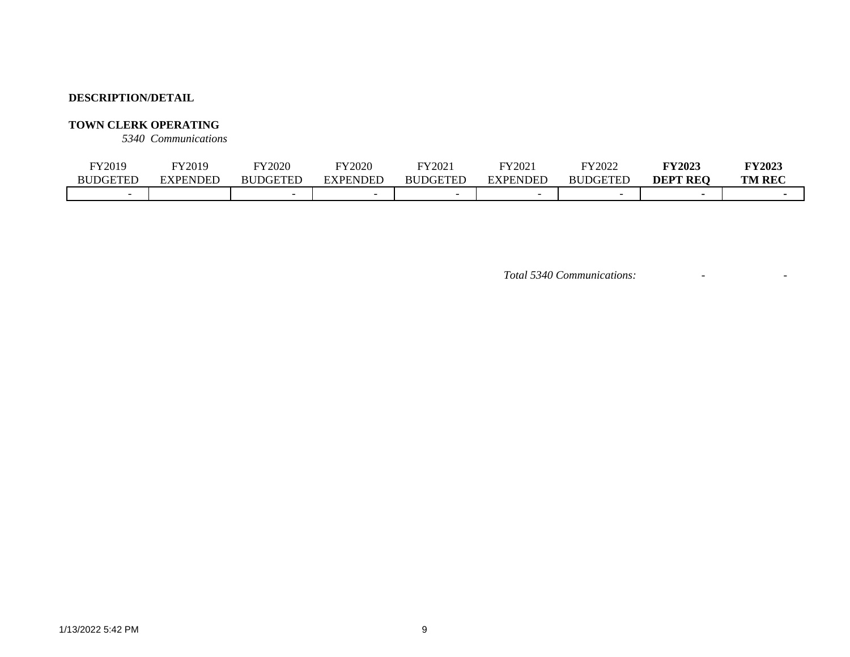# **TOWN CLERK OPERATING**

*5340 Communications*

| TY2019          | Y2019    | FY2020                   | FY2020                   | FY2021          | FY2021          | FY2022                      | <b>FY2023</b>   | <b>FY2023</b> |
|-----------------|----------|--------------------------|--------------------------|-----------------|-----------------|-----------------------------|-----------------|---------------|
| <b>BUDGETED</b> | EXPENDED | <b>BUDGETED</b>          | EXPENDED                 | <b>BUDGETED</b> | <b>EXPENDED</b> | <b>DGETED</b><br><b>BUL</b> | <b>DEPT REO</b> | <b>TM REC</b> |
|                 |          | $\overline{\phantom{0}}$ | $\overline{\phantom{0}}$ |                 |                 | $\overline{\phantom{0}}$    |                 |               |

*Total 5340 Communications:* - -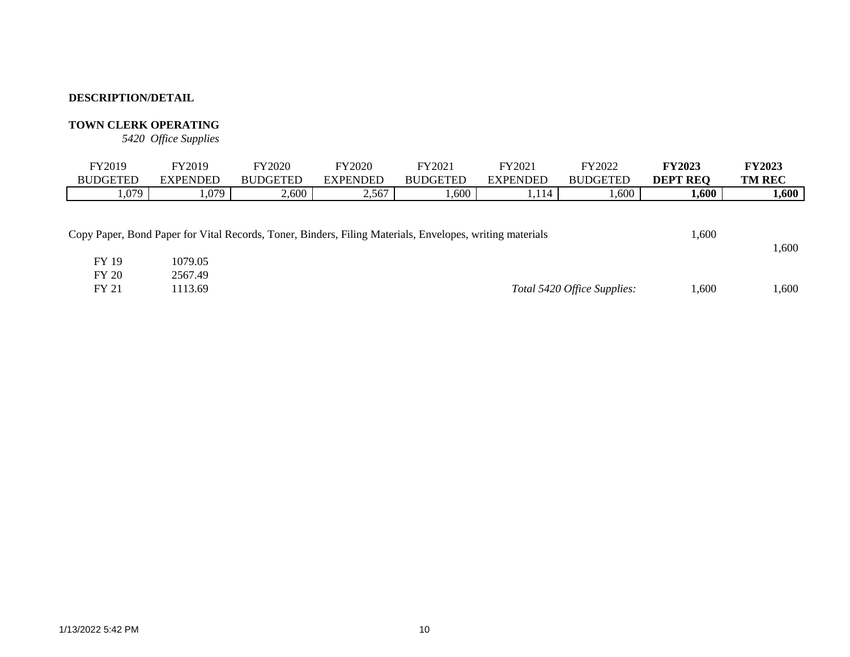# **TOWN CLERK OPERATING**

*5420 Office Supplies*

| FY2019                                                                                                                                   | FY2019             | <b>FY2020</b>   | <b>FY2020</b>   | FY2021          | FY2021          | FY2022          | <b>FY2023</b>   | <b>FY2023</b> |
|------------------------------------------------------------------------------------------------------------------------------------------|--------------------|-----------------|-----------------|-----------------|-----------------|-----------------|-----------------|---------------|
| <b>BUDGETED</b>                                                                                                                          | <b>EXPENDED</b>    | <b>BUDGETED</b> | <b>EXPENDED</b> | <b>BUDGETED</b> | <b>EXPENDED</b> | <b>BUDGETED</b> | <b>DEPT REQ</b> | <b>TM REC</b> |
| .079                                                                                                                                     | 1,079              | 2,600           | 2,567           | 1,600           | 1,114           | 0.600           | 1,600           | 1,600         |
| Copy Paper, Bond Paper for Vital Records, Toner, Binders, Filing Materials, Envelopes, writing materials<br><b>FY 19</b><br><b>FY 20</b> | 1079.05<br>2567.49 |                 |                 |                 |                 |                 | 1,600           | 1,600         |

FY 21 1113.69 *Total 5420 Office Supplies:* 1,600 1,600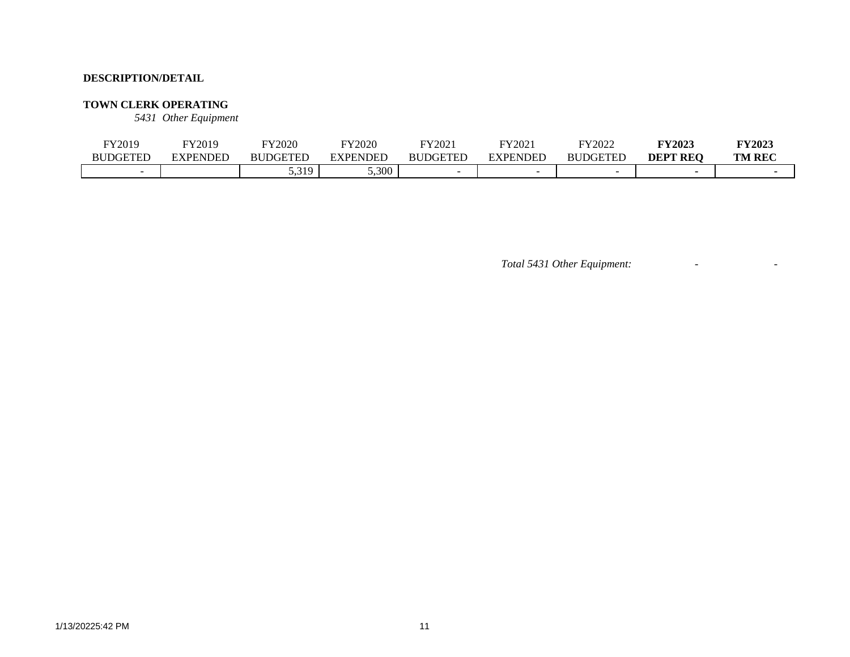#### **TOWN CLERK OPERATING**

*5431 Other Equipment*

| FY2019          | FY2019   | FY2020              | FY2020         | FY2021          | FY2021   | FY2022                   | <b>FY2023</b>   | <b>FY2023</b> |
|-----------------|----------|---------------------|----------------|-----------------|----------|--------------------------|-----------------|---------------|
| <b>BUDGETED</b> | EXPENDED | <b>BUDGETED</b>     | <b>XPENDEL</b> | <b>BUDGETED</b> | EXPENDED | <b>BUDGETED</b>          | <b>DEPT REO</b> | <b>TM REC</b> |
|                 |          | 5 310<br>ັບ ເປີ 1 - | 5,300          |                 |          | $\overline{\phantom{0}}$ |                 |               |

*Total 5431 Other Equipment:* - -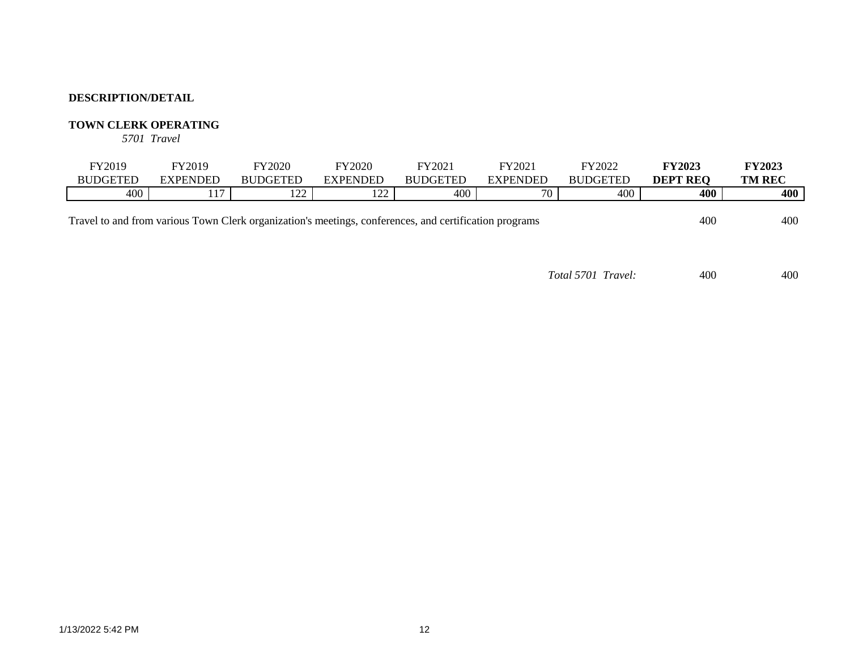# **TOWN CLERK OPERATING**

*5701 Travel*

| FY2019          | FY2019              | <b>FY2020</b>   | FY2020         | FY2021          | FY2021   | FY2022          | <b>FY2023</b>             | <b>FY2023</b> |
|-----------------|---------------------|-----------------|----------------|-----------------|----------|-----------------|---------------------------|---------------|
| <b>BUDGETED</b> | <b>EXPENDED</b>     | <b>BUDGETED</b> | EXPENDED       | <b>BUDGETED</b> | EXPENDED | <b>BUDGETED</b> | <b>REQ</b><br><b>DEPT</b> | <b>TM REC</b> |
| 400             | $\overline{ }$<br>. | 1 ລລ<br>- 22    | $\sim$<br>- 22 | 400             | 70       | 400             | 400                       | 400           |
|                 |                     |                 |                |                 |          |                 |                           |               |

Travel to and from various Town Clerk organization's meetings, conferences, and certification programs 400 400

*Total 5701 Travel:* 400 400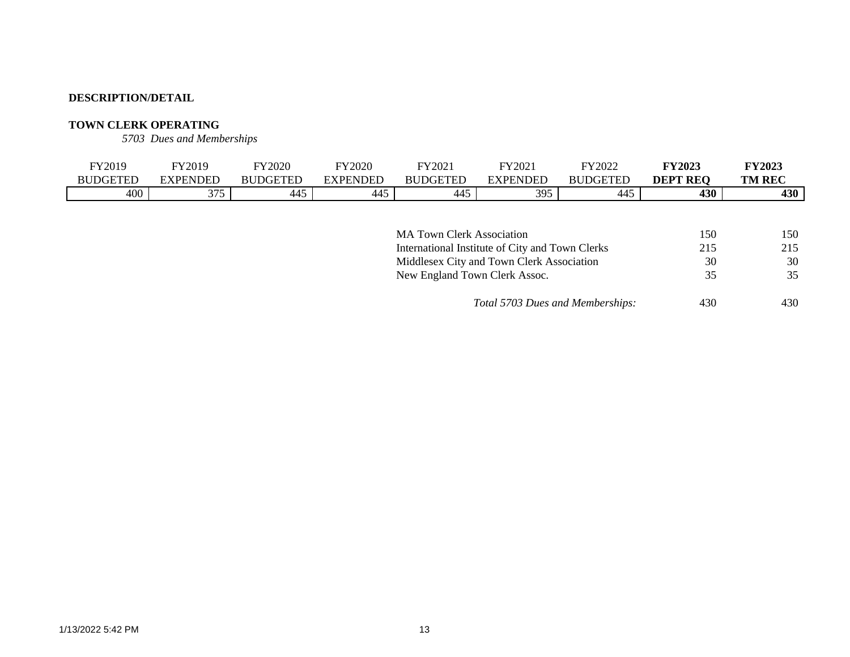# **TOWN CLERK OPERATING**

*5703 Dues and Memberships*

| FY2019          | FY2019          | <b>FY2020</b>   | FY2020   | FY2021          | FY2021   | FY2022          | <b>FY2023</b>      | <b>FY2023</b> |
|-----------------|-----------------|-----------------|----------|-----------------|----------|-----------------|--------------------|---------------|
| <b>BUDGETED</b> | <b>EXPENDED</b> | <b>BUDGETED</b> | EXPENDED | <b>BUDGETED</b> | EXPENDED | <b>BUDGETED</b> | <b>REQ</b><br>DEPT | <b>TM REC</b> |
| 400             | 275<br>ن ، ب    | 445             | 445      | 445             | 395      | -445            | 430                | 430           |

| <b>MA Town Clerk Association</b>                | 150 | 150 |
|-------------------------------------------------|-----|-----|
| International Institute of City and Town Clerks | 215 | 215 |
| Middlesex City and Town Clerk Association       | 30  | 30  |
| New England Town Clerk Assoc.                   | 35  | 35  |
| Total 5703 Dues and Memberships:                | 430 | 430 |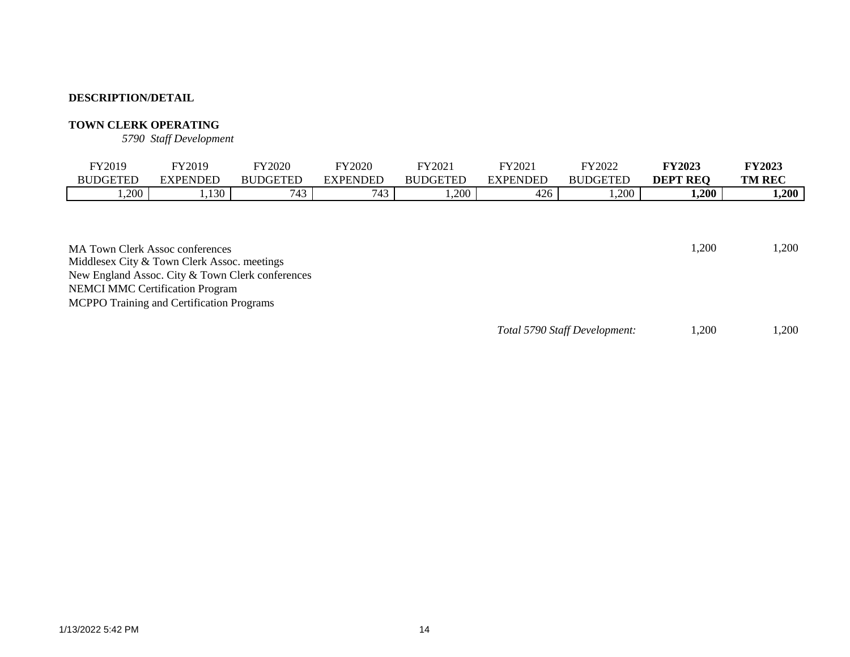### **TOWN CLERK OPERATING**

*5790 Staff Development*

| TY2019<br><b>BUDGETED</b> | FY2019<br><b>EXPENDED</b> | FY2020<br><b>BUDGETED</b> | FY2020<br><b>EXPENDED</b> | $\text{FY}2021$<br><b>BUDGETED</b> | FY2021<br><b>EXPENDED</b> | FY2022<br><b>BUDGETED</b> | <b>FY2023</b><br>DEPT<br><b>REO</b> | <b>FY2023</b><br><b>TM REC</b> |
|---------------------------|---------------------------|---------------------------|---------------------------|------------------------------------|---------------------------|---------------------------|-------------------------------------|--------------------------------|
| ,200                      | 1,130                     | 743                       | 743                       | .,200                              | 426                       | ,200                      | 1,200                               | 1,200                          |
|                           |                           |                           |                           |                                    |                           |                           |                                     |                                |

MA Town Clerk Assoc conferences 1,200 1,200 Middlesex City & Town Clerk Assoc. meetings New England Assoc. City & Town Clerk conferences NEMCI MMC Certification Program MCPPO Training and Certification Programs

*Total 5790 Staff Development:* 1,200 1,200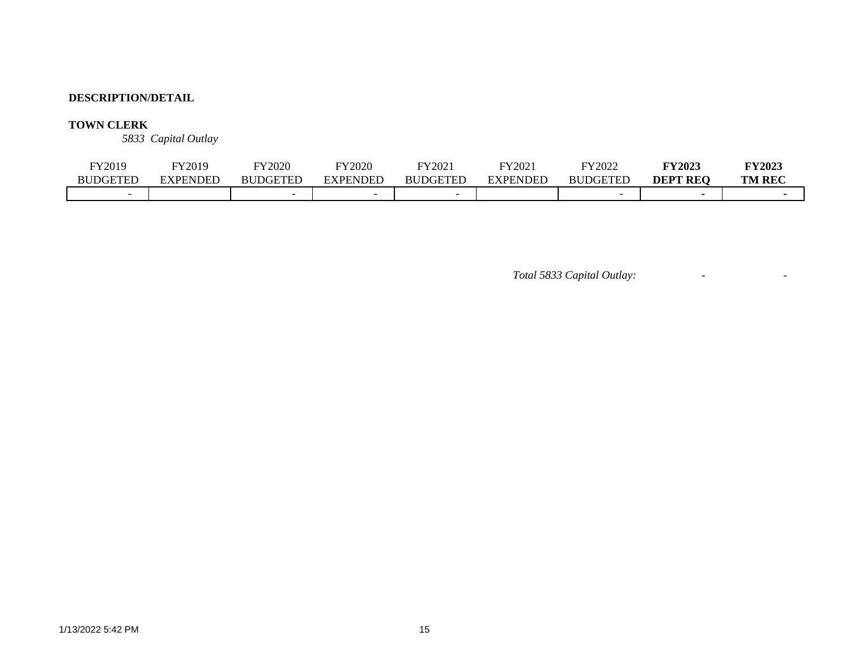# **TOWN CLERK**

*5833 Capital Outlay*

| FY2019                   | FY2019   | FY2020          | FY2020                   | FY2021          | FY2021   | $\nabla$ Y2022  | <b>FY2023</b>   | <b>FY2023</b> |
|--------------------------|----------|-----------------|--------------------------|-----------------|----------|-----------------|-----------------|---------------|
| <b>BUDGETED</b>          | EXPENDED | <b>BUDGETED</b> | EXPENDED                 | <b>BUDGETED</b> | EXPENDED | <b>BUDGETED</b> | <b>DEPT REO</b> | <b>TM REC</b> |
| $\overline{\phantom{0}}$ |          |                 | $\overline{\phantom{0}}$ |                 |          |                 |                 |               |

*Total 5833 Capital Outlay:* - -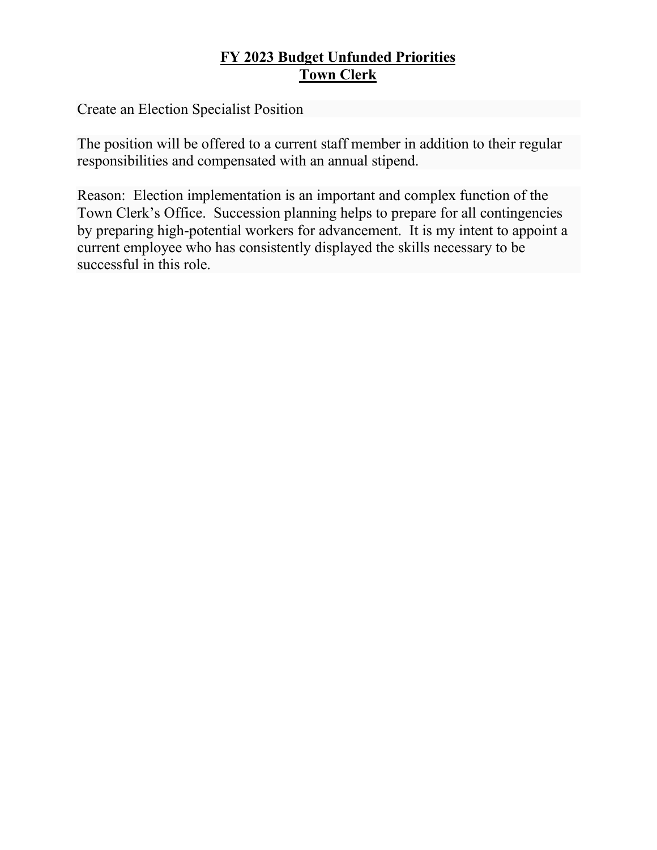# **FY 2023 Budget Unfunded Priorities Town Clerk**

Create an Election Specialist Position

The position will be offered to a current staff member in addition to their regular responsibilities and compensated with an annual stipend.

Reason: Election implementation is an important and complex function of the Town Clerk's Office. Succession planning helps to prepare for all contingencies by preparing high-potential workers for advancement. It is my intent to appoint a current employee who has consistently displayed the skills necessary to be successful in this role.